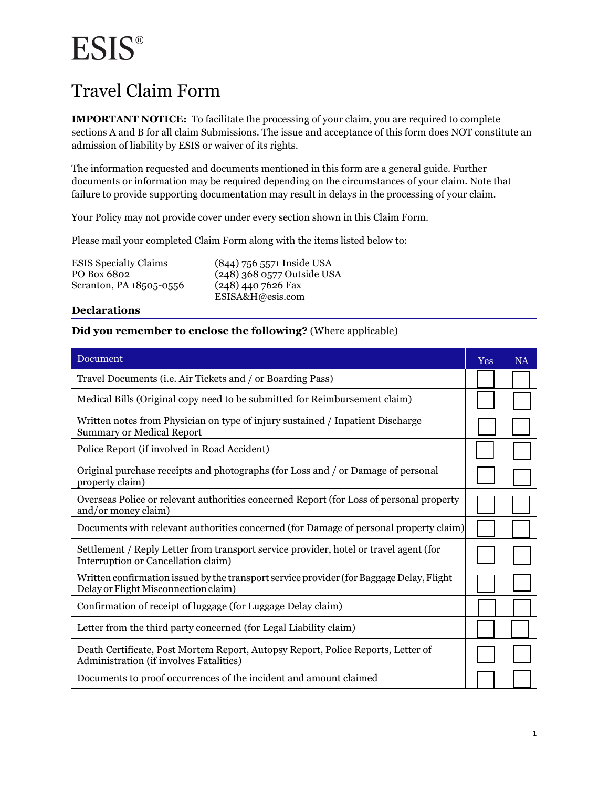### Travel Claim Form

 **IMPORTANT NOTICE:** To facilitate the processing of your claim, you are required to complete sections A and B for all claim Submissions. The issue and acceptance of this form does NOT constitute an admission of liability by ESIS or waiver of its rights.

The information requested and documents mentioned in this form are a general guide. Further documents or information may be required depending on the circumstances of your claim. Note that failure to provide supporting documentation may result in delays in the processing of your claim.

Your Policy may not provide cover under every section shown in this Claim Form.

Please mail your completed Claim Form along with the items listed below to:

ESIS Specialty Claims PO Box 6802 Scranton, PA 18505-0556

(844) 756 5571 Inside USA (248) 368 0577 Outside USA (248) 440 7626 Fax [ESISA&H@esis.com](mailto:ESISA&H@esis.com)

#### **Declarations**

#### **Did you remember to enclose the following?** (Where applicable)

| Document                                                                                                                         | Yes | <b>NA</b> |
|----------------------------------------------------------------------------------------------------------------------------------|-----|-----------|
| Travel Documents (i.e. Air Tickets and / or Boarding Pass)                                                                       |     |           |
| Medical Bills (Original copy need to be submitted for Reimbursement claim)                                                       |     |           |
| Written notes from Physician on type of injury sustained / Inpatient Discharge<br><b>Summary or Medical Report</b>               |     |           |
| Police Report (if involved in Road Accident)                                                                                     |     |           |
| Original purchase receipts and photographs (for Loss and / or Damage of personal<br>property claim)                              |     |           |
| Overseas Police or relevant authorities concerned Report (for Loss of personal property<br>and/or money claim)                   |     |           |
| Documents with relevant authorities concerned (for Damage of personal property claim)                                            |     |           |
| Settlement / Reply Letter from transport service provider, hotel or travel agent (for<br>Interruption or Cancellation claim)     |     |           |
| Written confirmation issued by the transport service provider (for Baggage Delay, Flight<br>Delay or Flight Misconnection claim) |     |           |
| Confirmation of receipt of luggage (for Luggage Delay claim)                                                                     |     |           |
| Letter from the third party concerned (for Legal Liability claim)                                                                |     |           |
| Death Certificate, Post Mortem Report, Autopsy Report, Police Reports, Letter of<br>Administration (if involves Fatalities)      |     |           |
| Documents to proof occurrences of the incident and amount claimed                                                                |     |           |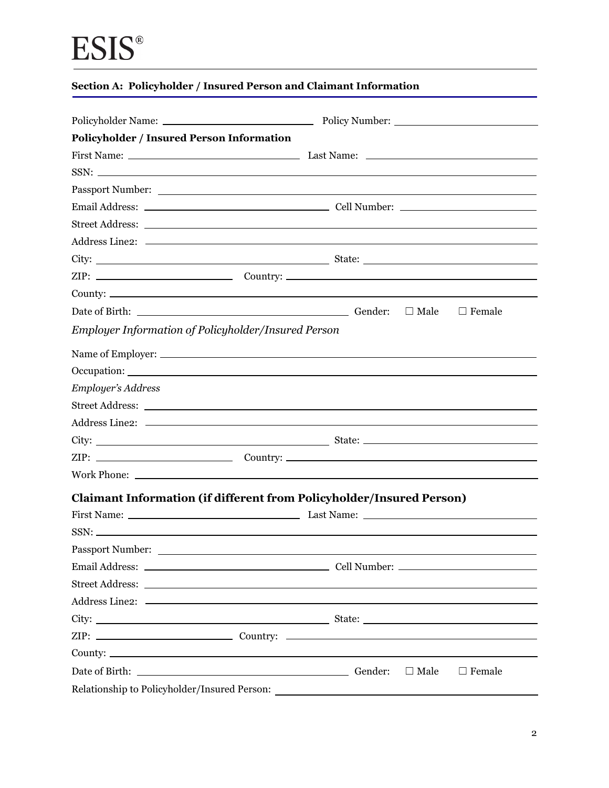| Policyholder / Insured Person Information                                                                                                                                                                                      |                                 |
|--------------------------------------------------------------------------------------------------------------------------------------------------------------------------------------------------------------------------------|---------------------------------|
|                                                                                                                                                                                                                                |                                 |
| $SSN:$ $\Box$                                                                                                                                                                                                                  |                                 |
| Passport Number:                                                                                                                                                                                                               |                                 |
|                                                                                                                                                                                                                                |                                 |
|                                                                                                                                                                                                                                |                                 |
|                                                                                                                                                                                                                                |                                 |
|                                                                                                                                                                                                                                |                                 |
|                                                                                                                                                                                                                                |                                 |
|                                                                                                                                                                                                                                |                                 |
| Date of Birth: Contact Contact Contact Contact Contact Contact Contact Contact Contact Contact Contact Contact Contact Contact Contact Contact Contact Contact Contact Contact Contact Contact Contact Contact Contact Contact | $\square$ Male<br>$\Box$ Female |
| <b>Employer Information of Policyholder/Insured Person</b>                                                                                                                                                                     |                                 |
|                                                                                                                                                                                                                                |                                 |
|                                                                                                                                                                                                                                |                                 |
| <b>Employer's Address</b>                                                                                                                                                                                                      |                                 |
|                                                                                                                                                                                                                                |                                 |
|                                                                                                                                                                                                                                |                                 |
|                                                                                                                                                                                                                                |                                 |
|                                                                                                                                                                                                                                |                                 |
|                                                                                                                                                                                                                                |                                 |
| <b>Claimant Information (if different from Policyholder/Insured Person)</b>                                                                                                                                                    |                                 |
|                                                                                                                                                                                                                                |                                 |
| SSN:                                                                                                                                                                                                                           |                                 |
| Passport Number:                                                                                                                                                                                                               |                                 |
|                                                                                                                                                                                                                                |                                 |
|                                                                                                                                                                                                                                |                                 |
|                                                                                                                                                                                                                                |                                 |
|                                                                                                                                                                                                                                |                                 |
|                                                                                                                                                                                                                                |                                 |
|                                                                                                                                                                                                                                |                                 |
| Date of Birth: Gender: Gender:                                                                                                                                                                                                 | $\Box$ Male<br>$\Box$ Female    |
| Relationship to Policyholder/Insured Person:                                                                                                                                                                                   |                                 |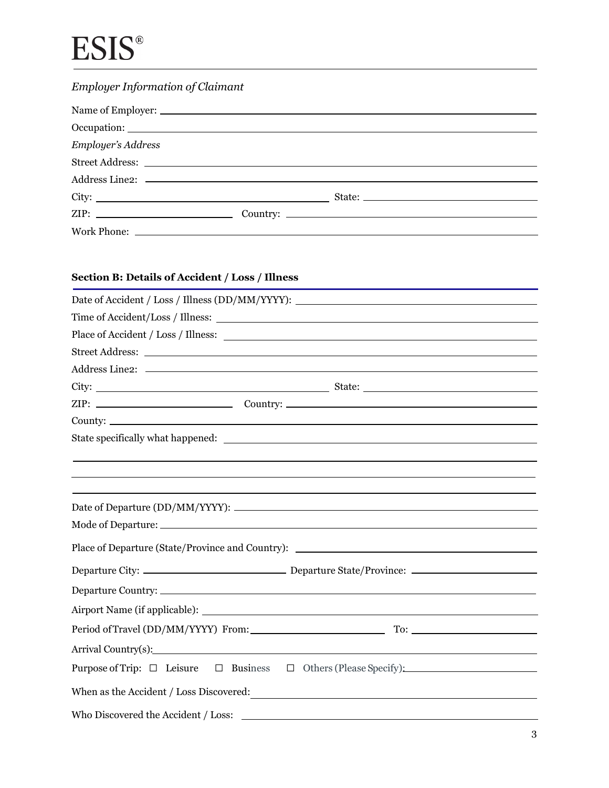### *Employer Information of Claimant*

| Employer's Address |  |
|--------------------|--|
|                    |  |
|                    |  |
|                    |  |
|                    |  |
|                    |  |

### **Section B: Details of Accident / Loss / Illness**

| $ZIP:$ $\qquad \qquad \qquad \qquad \qquad \qquad \qquad \qquad \qquad \qquad \text{Country:}$ |
|------------------------------------------------------------------------------------------------|
|                                                                                                |
|                                                                                                |
|                                                                                                |
|                                                                                                |
|                                                                                                |
|                                                                                                |
|                                                                                                |
| Place of Departure (State/Province and Country): ________________________________              |
|                                                                                                |
|                                                                                                |
|                                                                                                |
|                                                                                                |
| Arrival Country(s): 1992                                                                       |
| Purpose of Trip: $\Box$ Leisure $\Box$ Business $\Box$ Others (Please Specify):                |
|                                                                                                |
| Who Discovered the Accident / Loss:                                                            |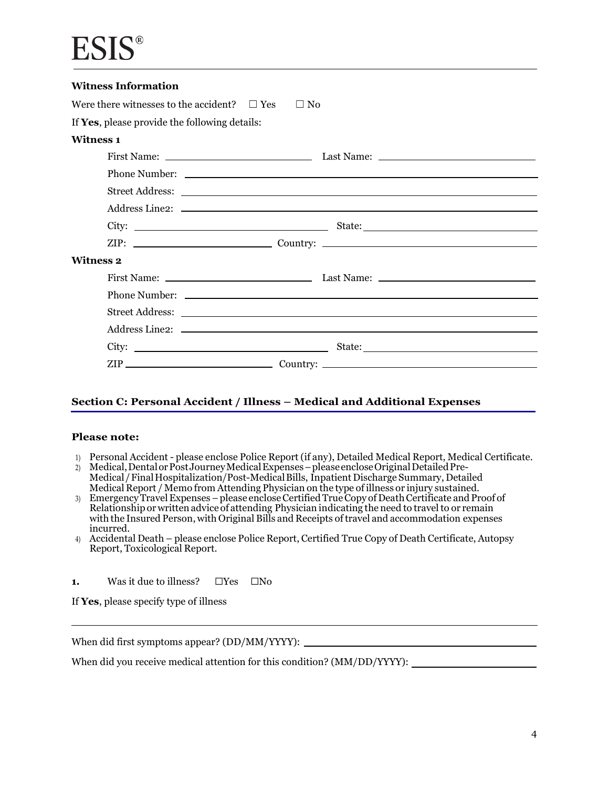| <b>Witness Information</b>                          |           |
|-----------------------------------------------------|-----------|
| Were there witnesses to the accident? $\square$ Yes | $\Box$ No |
| If Yes, please provide the following details:       |           |
| <b>Witness 1</b>                                    |           |
|                                                     |           |
|                                                     |           |
|                                                     |           |
|                                                     |           |
|                                                     |           |
|                                                     |           |
| <b>Witness 2</b>                                    |           |
|                                                     |           |
|                                                     |           |
|                                                     |           |
|                                                     |           |
|                                                     |           |
|                                                     |           |

#### **Section C: Personal Accident / Illness – Medical and Additional Expenses**

#### **Please note:**

I

- 1) Personal Accident please enclose Police Report (if any), Detailed Medical Report, Medical Certificate.
- 2) Medical,DentalorPostJourneyMedical Expenses –please encloseOriginal Detailed Pre-Medical/FinalHospitalization/Post-MedicalBills, Inpatient Discharge Summary, Detailed Medical Report / Memo from Attending Physician on the type of illness or injury sustained.
- Ĵ  $\overline{\phantom{a}}$  with the Insured Person, with Original Bills and Receipts of travel and accommodation expenses 3) Emergency Travel Expenses – please enclose Certified True Copy of Death Certificate and Proof of Relationship or written advice of attending Physician indicating the need to travel to or remain incurred.
- 4) Accidental Death please enclose Police Report, Certified True Copy of Death Certificate, Autopsy Report, Toxicological Report.
- **1.** Was it due to illness? □Yes □No
- If **Yes**, please specify type of illness

When did first symptoms appear? (DD/MM/YYYY):

When did you receive medical attention for this condition? (MM/DD/YYYY):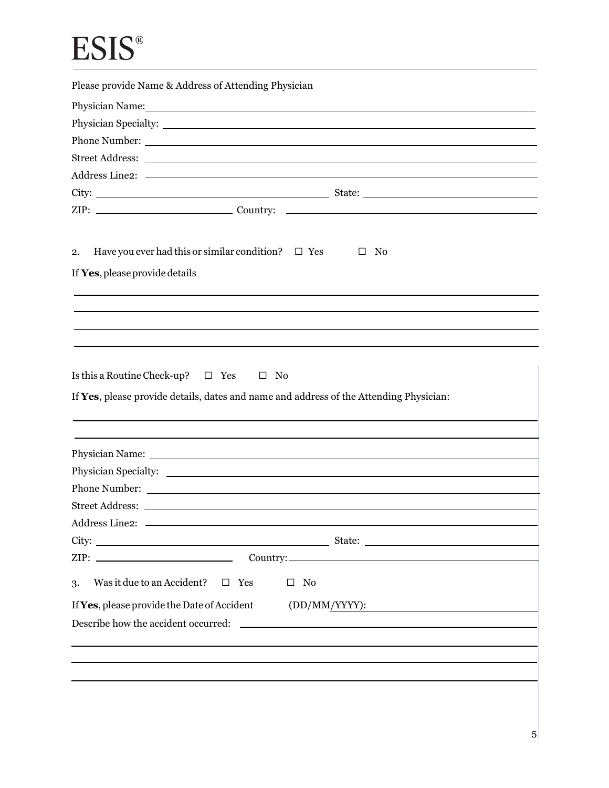| Please provide Name & Address of Attending Physician                                                                                                                                                                           |
|--------------------------------------------------------------------------------------------------------------------------------------------------------------------------------------------------------------------------------|
| Physician Name: Name: Name: Name: Name: Name: Name: Name: Name: Name: Name: Name: Name: Name: Name: Name: Name: Name: Name: Name: Name: Name: Name: Name: Name: Name: Name: Name: Name: Name: Name: Name: Name: Name: Name: Na |
|                                                                                                                                                                                                                                |
|                                                                                                                                                                                                                                |
|                                                                                                                                                                                                                                |
|                                                                                                                                                                                                                                |
|                                                                                                                                                                                                                                |
|                                                                                                                                                                                                                                |
| Have you ever had this or similar condition? $\Box$ Yes<br>$\Box$ No<br>2.<br>If Yes, please provide details                                                                                                                   |
|                                                                                                                                                                                                                                |
|                                                                                                                                                                                                                                |
|                                                                                                                                                                                                                                |
| Is this a Routine Check-up? $\Box$ Yes<br>$\square$ No<br>If Yes, please provide details, dates and name and address of the Attending Physician:                                                                               |
|                                                                                                                                                                                                                                |
|                                                                                                                                                                                                                                |
|                                                                                                                                                                                                                                |
|                                                                                                                                                                                                                                |
|                                                                                                                                                                                                                                |
| Address Line2:                                                                                                                                                                                                                 |
|                                                                                                                                                                                                                                |
|                                                                                                                                                                                                                                |
| Was it due to an Accident?<br>$\square$ Yes<br>$\Box$ No<br>3.                                                                                                                                                                 |
| If Yes, please provide the Date of Accident<br>(DD/MM/YYYY):                                                                                                                                                                   |
| Describe how the accident occurred:<br><u>and the state of the state of the state of the state of the state of the state of the state of the state of th</u>                                                                   |
|                                                                                                                                                                                                                                |
|                                                                                                                                                                                                                                |
|                                                                                                                                                                                                                                |
|                                                                                                                                                                                                                                |
|                                                                                                                                                                                                                                |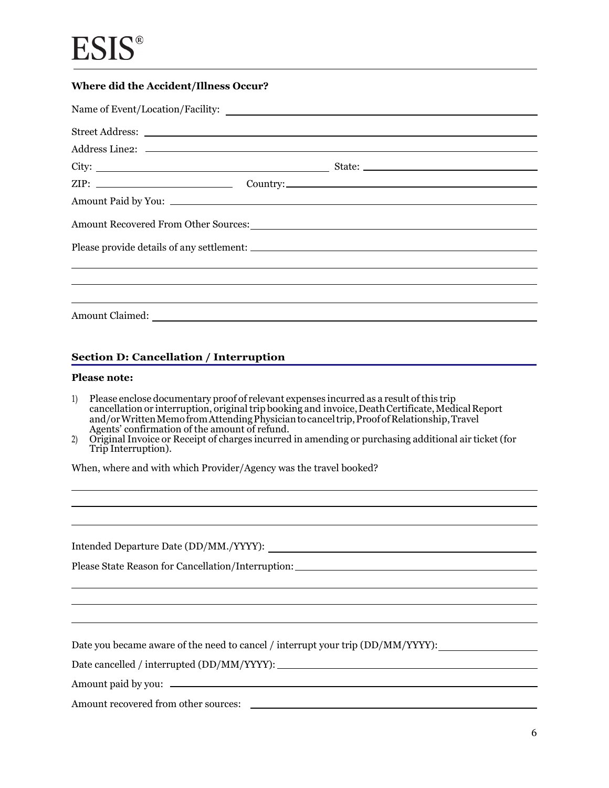#### **Where did the Accident/Illness Occur?**

| ZIP: Country: Country:                                                                                                                            |  |  |
|---------------------------------------------------------------------------------------------------------------------------------------------------|--|--|
|                                                                                                                                                   |  |  |
|                                                                                                                                                   |  |  |
|                                                                                                                                                   |  |  |
| ,我们也不能会有什么。""我们的人,我们也不能会有什么?""我们的人,我们也不能会有什么?""我们的人,我们也不能会有什么?""我们的人,我们也不能会有什么?""                                                                 |  |  |
| <u> 2000 - Andrea Andrewski, amerikansk politik (d. 1989)</u><br>,我们也不会有什么?""我们的人,我们也不会有什么?""我们的人,我们也不会有什么?""我们的人,我们也不会有什么?""我们的人,我们也不会有什么?""我们的人 |  |  |
|                                                                                                                                                   |  |  |

#### **Section D: Cancellation / Interruption**

#### **Please note:**

- $\overline{a}$  and/or Written Memo from AttendingPhysician to cancel trip, Proof of Relationship, Travel Agents' confirmation of the amount of refund. 1) Please enclose documentary proof of relevant expenses incurred as a result of this trip cancellation or interruption, original trip booking and invoice, Death Certificate, Medical Report
- 2) Original Invoice or Receipt of charges incurred in amending or purchasing additional air ticket (for Trip Interruption).

When, where and with which Provider/Agency was the travel booked?

Intended Departure Date (DD/MM./YYYY):

Please State Reason for Cancellation/Interruption:

Date you became aware of the need to cancel / interrupt your trip (DD/MM/YYYY):

Date cancelled / interrupted (DD/MM/YYYY):

Amount paid by you:

Amount recovered from other sources: \_\_\_\_\_\_\_\_\_\_\_\_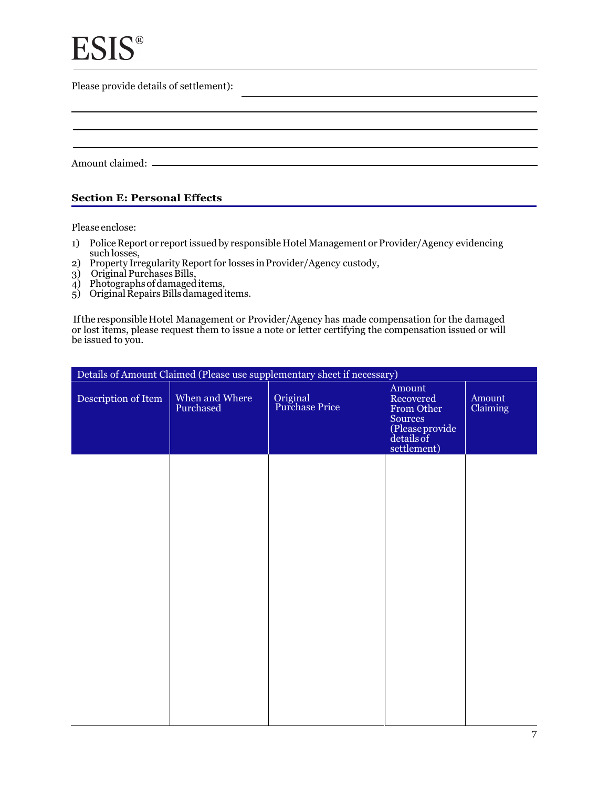Please provide details of settlement):

Amount claimed:

#### **Section E: Personal Effects**

Please enclose:

- 1) Police Report or report issued by responsible Hotel Management or Provider/Agency evidencing such losses,
- 2) Property Irregularity Report for losses in Provider/Agency custody, j
- 3) Original Purchases Bills,  $\overline{a}$
- 4) Photographs of damaged items,  $\overline{\phantom{a}}$
- 5) Original Repairs Bills damaged items. j

If the responsible Hotel Management or Provider/Agency has made compensation for the damaged or lost items, please request them to issue a note or letter certifying the compensation issued or will be issued to you. j j

| Details of Amount Claimed (Please use supplementary sheet if necessary) |                             |                            |                                                                                              |                    |
|-------------------------------------------------------------------------|-----------------------------|----------------------------|----------------------------------------------------------------------------------------------|--------------------|
| Description of Item                                                     | When and Where<br>Purchased | Original<br>Purchase Price | Amount<br>Recovered<br>From Other<br>Sources<br>(Please provide<br>details of<br>settlement) | Amount<br>Claiming |
|                                                                         |                             |                            |                                                                                              |                    |
|                                                                         |                             |                            |                                                                                              |                    |
|                                                                         |                             |                            |                                                                                              |                    |
|                                                                         |                             |                            |                                                                                              |                    |
|                                                                         |                             |                            |                                                                                              |                    |
|                                                                         |                             |                            |                                                                                              |                    |
|                                                                         |                             |                            |                                                                                              |                    |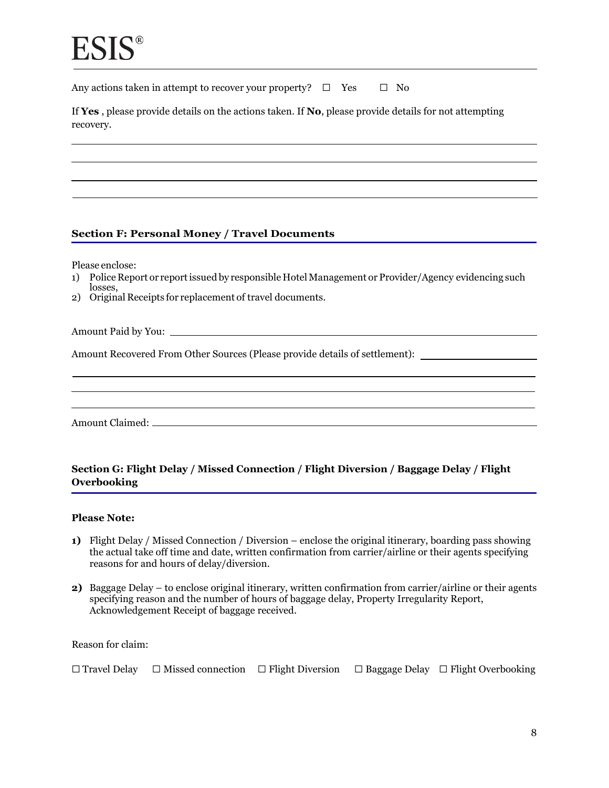Any actions taken in attempt to recover your property?  $\Box$  Yes  $\Box$  No

If **Yes** , please provide details on the actions taken. If **No**, please provide details for not attempting recovery.

#### **Section F: Personal Money / Travel Documents**

Please enclose:

- 1) Police Report or report issued by responsible Hotel Management or Provider/Agency evidencing such losses.
- losses, 2) Original Receipts for replacement of travel documents.

Amount Paid by You:

Amount Recovered From Other Sources (Please provide details of settlement):

Amount Claimed:

#### **Section G: Flight Delay / Missed Connection / Flight Diversion / Baggage Delay / Flight Overbooking**

#### **Please Note:**

- **1)** Flight Delay / Missed Connection / Diversion enclose the original itinerary, boarding pass showing the actual take off time and date, written confirmation from carrier/airline or their agents specifying reasons for and hours of delay/diversion.
- **2)** Baggage Delay to enclose original itinerary, written confirmation from carrier/airline or their agents specifying reason and the number of hours of baggage delay, Property Irregularity Report, Acknowledgement Receipt of baggage received.

Reason for claim:

| $\Box$ Travel Delay | $\Box$ Missed connection $\Box$ Flight Diversion |  |  | $\Box$ Baggage Delay $\Box$ Flight Overbooking |
|---------------------|--------------------------------------------------|--|--|------------------------------------------------|
|---------------------|--------------------------------------------------|--|--|------------------------------------------------|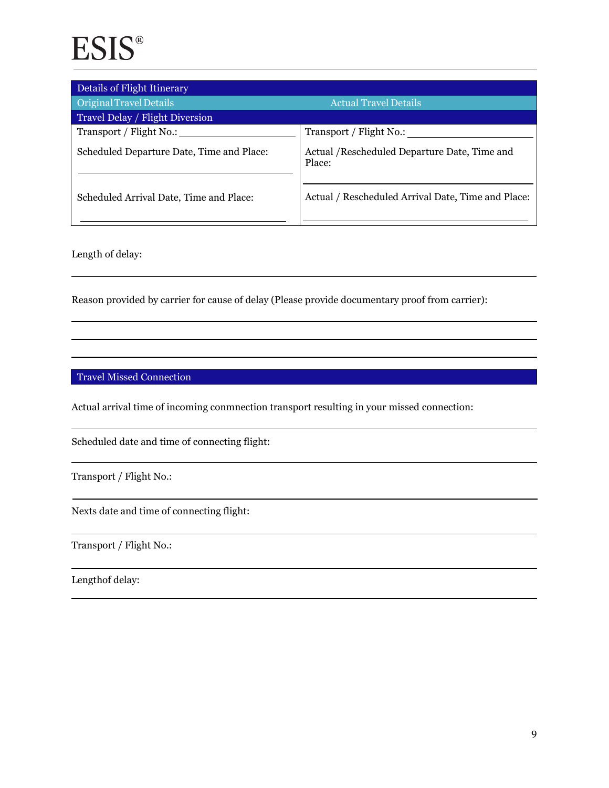| Details of Flight Itinerary               |                                                         |
|-------------------------------------------|---------------------------------------------------------|
| Original Travel Details                   | <b>Actual Travel Details</b>                            |
| Travel Delay / Flight Diversion           |                                                         |
| Transport / Flight No.:                   | Transport / Flight No.:                                 |
| Scheduled Departure Date, Time and Place: | Actual / Rescheduled Departure Date, Time and<br>Place: |
| Scheduled Arrival Date, Time and Place:   | Actual / Rescheduled Arrival Date, Time and Place:      |

Length of delay:

Reason provided by carrier for cause of delay (Please provide documentary proof from carrier):

#### Travel Missed Connection

Actual arrival time of incoming conmnection transport resulting in your missed connection:

Scheduled date and time of connecting flight:

Transport / Flight No.:

Nexts date and time of connecting flight:

Transport / Flight No.:

Lengthof delay: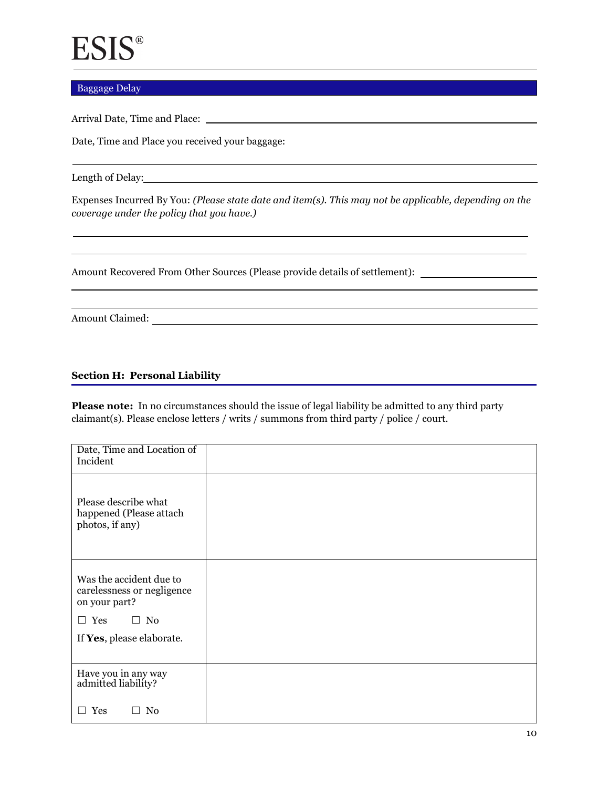#### Baggage Delay

Arrival Date, Time and Place:

Date, Time and Place you received your baggage:

Length of Delay:

Expenses Incurred By You: *(Please state date and item(s). This may not be applicable, depending on the coverage under the policy that you have.)* 

Amount Recovered From Other Sources (Please provide details of settlement):

Amount Claimed:

#### **Section H: Personal Liability**

**Please note:** In no circumstances should the issue of legal liability be admitted to any third party claimant(s). Please enclose letters / writs / summons from third party / police / court.

| Date, Time and Location of<br>Incident                                 |  |
|------------------------------------------------------------------------|--|
| Please describe what<br>happened (Please attach<br>photos, if any)     |  |
| Was the accident due to<br>carelessness or negligence<br>on your part? |  |
| $\Box$ No<br>$\Box$ Yes                                                |  |
| If Yes, please elaborate.                                              |  |
|                                                                        |  |
| Have you in any way<br>admitted liability?                             |  |
| N <sub>0</sub><br>Yes                                                  |  |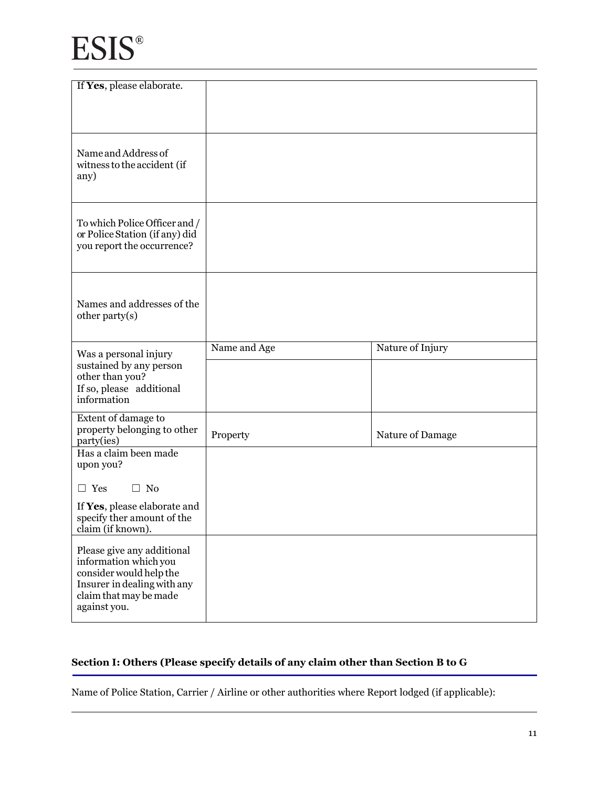| If Yes, please elaborate.                                                                                                                               |              |                  |
|---------------------------------------------------------------------------------------------------------------------------------------------------------|--------------|------------------|
|                                                                                                                                                         |              |                  |
|                                                                                                                                                         |              |                  |
|                                                                                                                                                         |              |                  |
| Name and Address of<br>witness to the accident (if<br>any)                                                                                              |              |                  |
| To which Police Officer and /<br>or Police Station (if any) did<br>you report the occurrence?                                                           |              |                  |
| Names and addresses of the<br>other party(s)                                                                                                            |              |                  |
| Was a personal injury<br>sustained by any person<br>other than you?<br>If so, please additional<br>information                                          | Name and Age | Nature of Injury |
|                                                                                                                                                         |              |                  |
| Extent of damage to<br>property belonging to other<br>party(ies)                                                                                        | Property     | Nature of Damage |
| Has a claim been made<br>upon you?                                                                                                                      |              |                  |
| $\Box$ No<br>$\Box$ Yes                                                                                                                                 |              |                  |
| If Yes, please elaborate and<br>specify ther amount of the<br>claim (if known).                                                                         |              |                  |
| Please give any additional<br>information which you<br>consider would help the<br>Insurer in dealing with any<br>claim that may be made<br>against you. |              |                  |

### **Section I: Others (Please specify details of any claim other than Section B to G**

Name of Police Station, Carrier / Airline or other authorities where Report lodged (if applicable):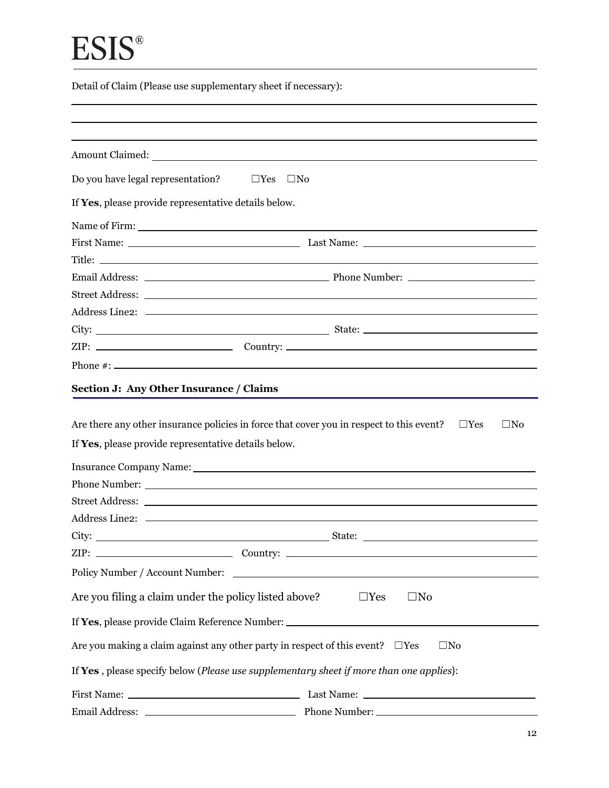Detail of Claim (Please use supplementary sheet if necessary):

|                                                      | Amount Claimed: National Claimed: National Claimed: National Claimed: National Claimed: National Claimed: National Claimed: National Claimed: National Claimed: National Claimed: National Claimed: National Claimed: National |  |
|------------------------------------------------------|--------------------------------------------------------------------------------------------------------------------------------------------------------------------------------------------------------------------------------|--|
| Do you have legal representation?                    | $\square$ Yes<br>$\square$ No                                                                                                                                                                                                  |  |
| If Yes, please provide representative details below. |                                                                                                                                                                                                                                |  |
|                                                      |                                                                                                                                                                                                                                |  |
|                                                      |                                                                                                                                                                                                                                |  |
|                                                      |                                                                                                                                                                                                                                |  |
|                                                      |                                                                                                                                                                                                                                |  |
|                                                      |                                                                                                                                                                                                                                |  |
|                                                      |                                                                                                                                                                                                                                |  |
|                                                      |                                                                                                                                                                                                                                |  |
|                                                      |                                                                                                                                                                                                                                |  |
|                                                      |                                                                                                                                                                                                                                |  |
| If Yes, please provide representative details below. | Insurance Company Name: 1988 Manual Manual Manual Manual Manual Manual Manual Manual Manual Manual Manual Manua                                                                                                                |  |
|                                                      |                                                                                                                                                                                                                                |  |
|                                                      |                                                                                                                                                                                                                                |  |
|                                                      |                                                                                                                                                                                                                                |  |
| Policy Number / Account Number:                      | <u> 1989 - Andrea Station Barbara (h. 1989)</u>                                                                                                                                                                                |  |
|                                                      | Are you filing a claim under the policy listed above?<br>$\square$ No<br>$\Box$ Yes                                                                                                                                            |  |
|                                                      | If Yes, please provide Claim Reference Number: __________________________________                                                                                                                                              |  |
|                                                      | Are you making a claim against any other party in respect of this event? $\Box$ Yes<br>$\square$ No                                                                                                                            |  |
|                                                      | If Yes, please specify below (Please use supplementary sheet if more than one applies):                                                                                                                                        |  |
|                                                      |                                                                                                                                                                                                                                |  |
|                                                      |                                                                                                                                                                                                                                |  |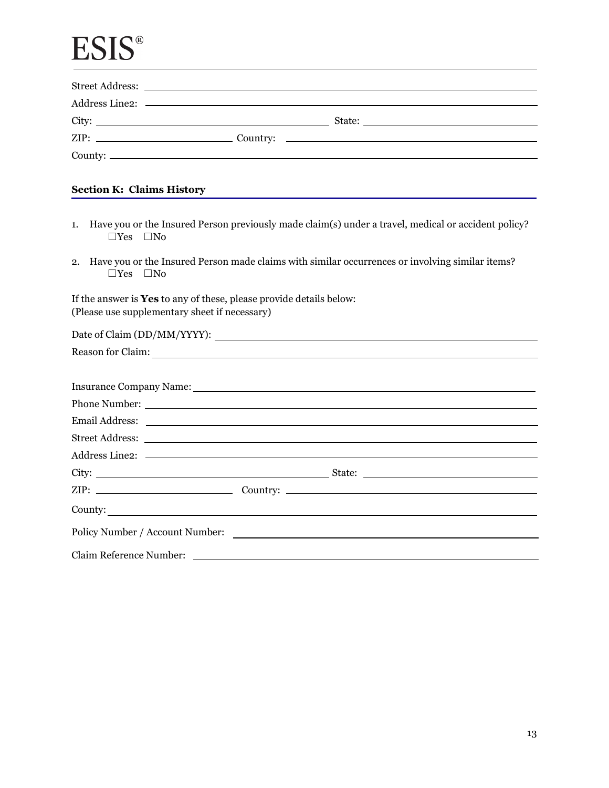|    | <b>Section K: Claims History</b>                                                                                                                                                                                                     |  |  |
|----|--------------------------------------------------------------------------------------------------------------------------------------------------------------------------------------------------------------------------------------|--|--|
| 1. | Have you or the Insured Person previously made claim(s) under a travel, medical or accident policy?<br>$\Box$ Yes $\Box$ No                                                                                                          |  |  |
| 2. | Have you or the Insured Person made claims with similar occurrences or involving similar items?<br>$\Box$ Yes $\Box$ No                                                                                                              |  |  |
|    | If the answer is Yes to any of these, please provide details below:<br>(Please use supplementary sheet if necessary)                                                                                                                 |  |  |
|    |                                                                                                                                                                                                                                      |  |  |
|    | Reason for Claim: New York Chain Chain Chain Chain Chain Chain Chain Chain Chain Chain Chain Chain Chain Chain Chain Chain Chain Chain Chain Chain Chain Chain Chain Chain Chain Chain Chain Chain Chain Chain Chain Chain Cha       |  |  |
|    | Insurance Company Name: 1988 Manual Manual Manual Manual Manual Manual Manual Manual Manual Manual Manual Manua                                                                                                                      |  |  |
|    |                                                                                                                                                                                                                                      |  |  |
|    | Email Address: <u>Quantity and Community and Community and Community and Community and Community and Community and Community and Community and Community and Community and Community and Community and Community and Community a</u> |  |  |
|    |                                                                                                                                                                                                                                      |  |  |
|    |                                                                                                                                                                                                                                      |  |  |
|    |                                                                                                                                                                                                                                      |  |  |
|    |                                                                                                                                                                                                                                      |  |  |
|    | County:                                                                                                                                                                                                                              |  |  |
|    |                                                                                                                                                                                                                                      |  |  |
|    | Claim Reference Number: 2008 2010 2010 2020 2020 2021 2021 2022 2021 2022 2021 2022 2022 2022 2022 2022 2022 20                                                                                                                      |  |  |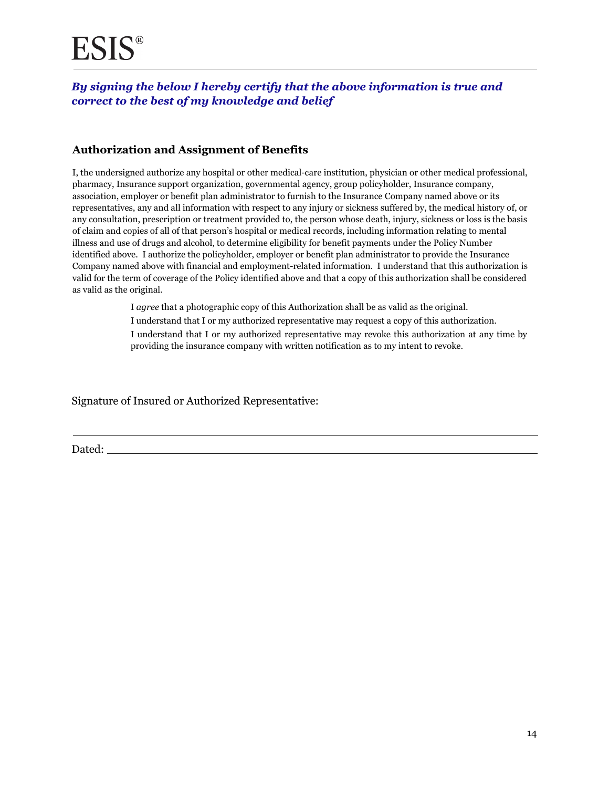### *By signing the below I hereby certify that the above information is true and correct to the best of my knowledge and belief*

### **Authorization and Assignment of Benefits**

 association, employer or benefit plan administrator to furnish to the Insurance Company named above or its I, the undersigned authorize any hospital or other medical-care institution, physician or other medical professional, pharmacy, Insurance support organization, governmental agency, group policyholder, Insurance company, representatives, any and all information with respect to any injury or sickness suffered by, the medical history of, or any consultation, prescription or treatment provided to, the person whose death, injury, sickness or loss is the basis of claim and copies of all of that person's hospital or medical records, including information relating to mental illness and use of drugs and alcohol, to determine eligibility for benefit payments under the Policy Number identified above. I authorize the policyholder, employer or benefit plan administrator to provide the Insurance Company named above with financial and employment-related information. I understand that this authorization is valid for the term of coverage of the Policy identified above and that a copy of this authorization shall be considered as valid as the original.

I *agree* that a photographic copy of this Authorization shall be as valid as the original.

I understand that I or my authorized representative may request a copy of this authorization.

I understand that I or my authorized representative may revoke this authorization at any time by providing the insurance company with written notification as to my intent to revoke.

Signature of Insured or Authorized Representative:

Dated: